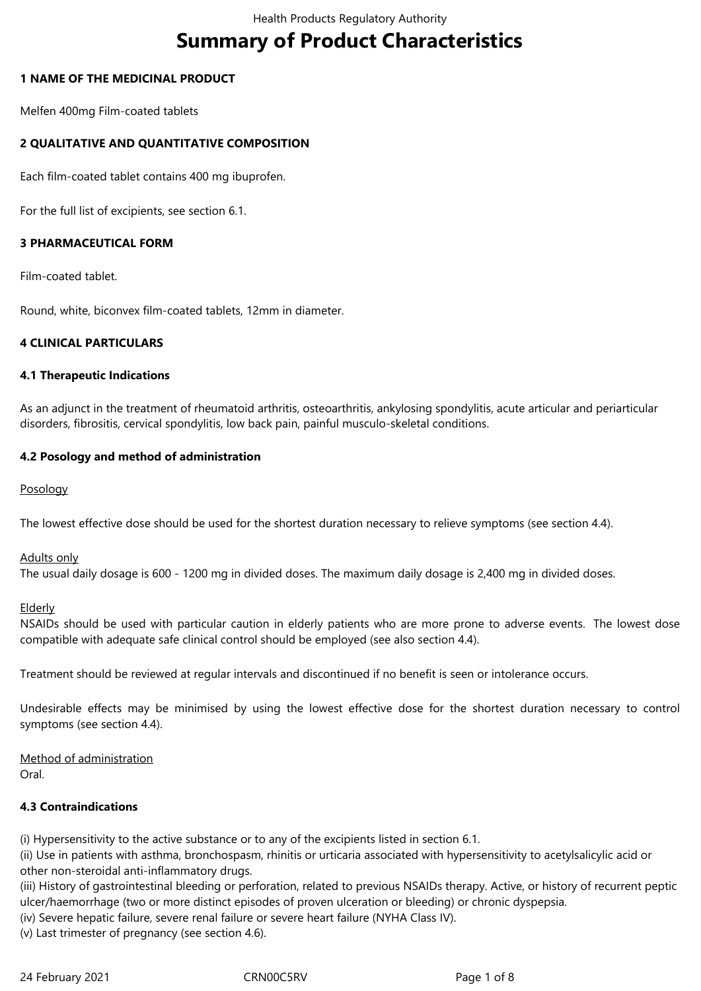# **Summary of Product Characteristics**

# **1 NAME OF THE MEDICINAL PRODUCT**

Melfen 400mg Film-coated tablets

# **2 QUALITATIVE AND QUANTITATIVE COMPOSITION**

Each film-coated tablet contains 400 mg ibuprofen.

For the full list of excipients, see section 6.1.

# **3 PHARMACEUTICAL FORM**

Film-coated tablet.

Round, white, biconvex film-coated tablets, 12mm in diameter.

#### **4 CLINICAL PARTICULARS**

#### **4.1 Therapeutic Indications**

As an adjunct in the treatment of rheumatoid arthritis, osteoarthritis, ankylosing spondylitis, acute articular and periarticular disorders, fibrositis, cervical spondylitis, low back pain, painful musculo-skeletal conditions.

#### **4.2 Posology and method of administration**

Posology

The lowest effective dose should be used for the shortest duration necessary to relieve symptoms (see section 4.4).

Adults only

The usual daily dosage is 600 - 1200 mg in divided doses. The maximum daily dosage is 2,400 mg in divided doses.

**Elderly** 

NSAIDs should be used with particular caution in elderly patients who are more prone to adverse events. The lowest dose compatible with adequate safe clinical control should be employed (see also section 4.4).

Treatment should be reviewed at regular intervals and discontinued if no benefit is seen or intolerance occurs.

Undesirable effects may be minimised by using the lowest effective dose for the shortest duration necessary to control symptoms (see section 4.4).

Method of administration Oral.

# **4.3 Contraindications**

(i) Hypersensitivity to the active substance or to any of the excipients listed in section 6.1.

(ii) Use in patients with asthma, bronchospasm, rhinitis or urticaria associated with hypersensitivity to acetylsalicylic acid or other non-steroidal anti-inflammatory drugs.

(iii) History of gastrointestinal bleeding or perforation, related to previous NSAIDs therapy. Active, or history of recurrent peptic ulcer/haemorrhage (two or more distinct episodes of proven ulceration or bleeding) or chronic dyspepsia.

(iv) Severe hepatic failure, severe renal failure or severe heart failure (NYHA Class IV).

(v) Last trimester of pregnancy (see section 4.6).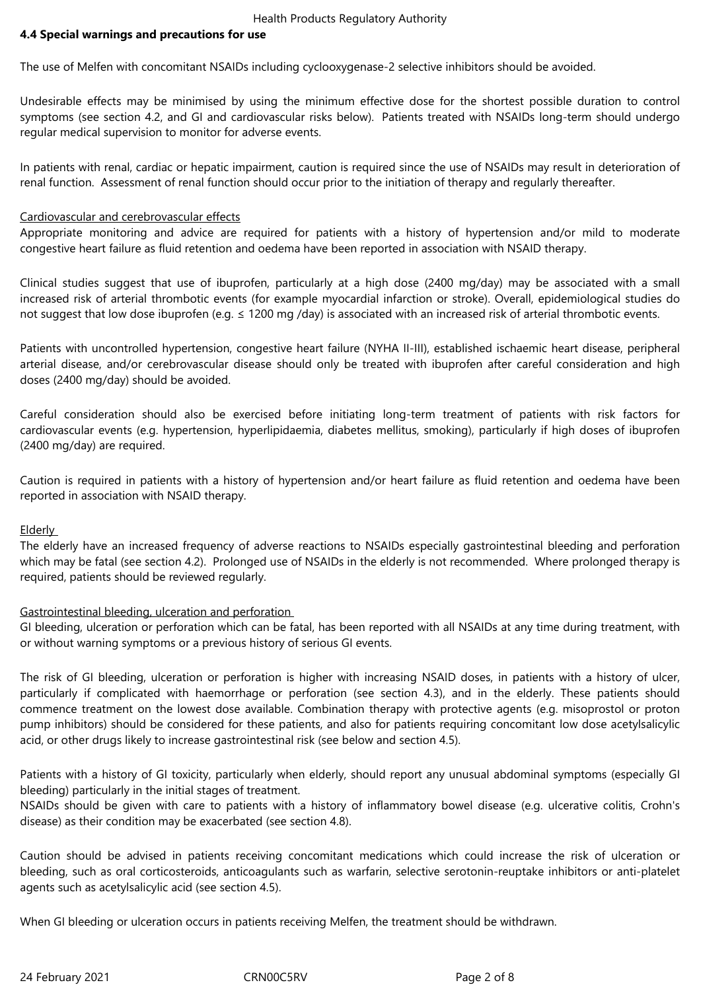Health Products Regulatory Authority

#### **4.4 Special warnings and precautions for use**

The use of Melfen with concomitant NSAIDs including cyclooxygenase-2 selective inhibitors should be avoided.

Undesirable effects may be minimised by using the minimum effective dose for the shortest possible duration to control symptoms (see section 4.2, and GI and cardiovascular risks below). Patients treated with NSAIDs long-term should undergo regular medical supervision to monitor for adverse events.

In patients with renal, cardiac or hepatic impairment, caution is required since the use of NSAIDs may result in deterioration of renal function. Assessment of renal function should occur prior to the initiation of therapy and regularly thereafter.

#### Cardiovascular and cerebrovascular effects

Appropriate monitoring and advice are required for patients with a history of hypertension and/or mild to moderate congestive heart failure as fluid retention and oedema have been reported in association with NSAID therapy.

Clinical studies suggest that use of ibuprofen, particularly at a high dose (2400 mg/day) may be associated with a small increased risk of arterial thrombotic events (for example myocardial infarction or stroke). Overall, epidemiological studies do not suggest that low dose ibuprofen (e.g. ≤ 1200 mg /day) is associated with an increased risk of arterial thrombotic events.

Patients with uncontrolled hypertension, congestive heart failure (NYHA II-III), established ischaemic heart disease, peripheral arterial disease, and/or cerebrovascular disease should only be treated with ibuprofen after careful consideration and high doses (2400 mg/day) should be avoided.

Careful consideration should also be exercised before initiating long-term treatment of patients with risk factors for cardiovascular events (e.g. hypertension, hyperlipidaemia, diabetes mellitus, smoking), particularly if high doses of ibuprofen (2400 mg/day) are required.

Caution is required in patients with a history of hypertension and/or heart failure as fluid retention and oedema have been reported in association with NSAID therapy.

#### Elderly

The elderly have an increased frequency of adverse reactions to NSAIDs especially gastrointestinal bleeding and perforation which may be fatal (see section 4.2). Prolonged use of NSAIDs in the elderly is not recommended. Where prolonged therapy is required, patients should be reviewed regularly.

#### Gastrointestinal bleeding, ulceration and perforation

GI bleeding, ulceration or perforation which can be fatal, has been reported with all NSAIDs at any time during treatment, with or without warning symptoms or a previous history of serious GI events.

The risk of GI bleeding, ulceration or perforation is higher with increasing NSAID doses, in patients with a history of ulcer, particularly if complicated with haemorrhage or perforation (see section 4.3), and in the elderly. These patients should commence treatment on the lowest dose available. Combination therapy with protective agents (e.g. misoprostol or proton pump inhibitors) should be considered for these patients, and also for patients requiring concomitant low dose acetylsalicylic acid, or other drugs likely to increase gastrointestinal risk (see below and section 4.5).

Patients with a history of GI toxicity, particularly when elderly, should report any unusual abdominal symptoms (especially GI bleeding) particularly in the initial stages of treatment.

NSAIDs should be given with care to patients with a history of inflammatory bowel disease (e.g. ulcerative colitis, Crohn's disease) as their condition may be exacerbated (see section 4.8).

Caution should be advised in patients receiving concomitant medications which could increase the risk of ulceration or bleeding, such as oral corticosteroids, anticoagulants such as warfarin, selective serotonin-reuptake inhibitors or anti-platelet agents such as acetylsalicylic acid (see section 4.5).

When GI bleeding or ulceration occurs in patients receiving Melfen, the treatment should be withdrawn.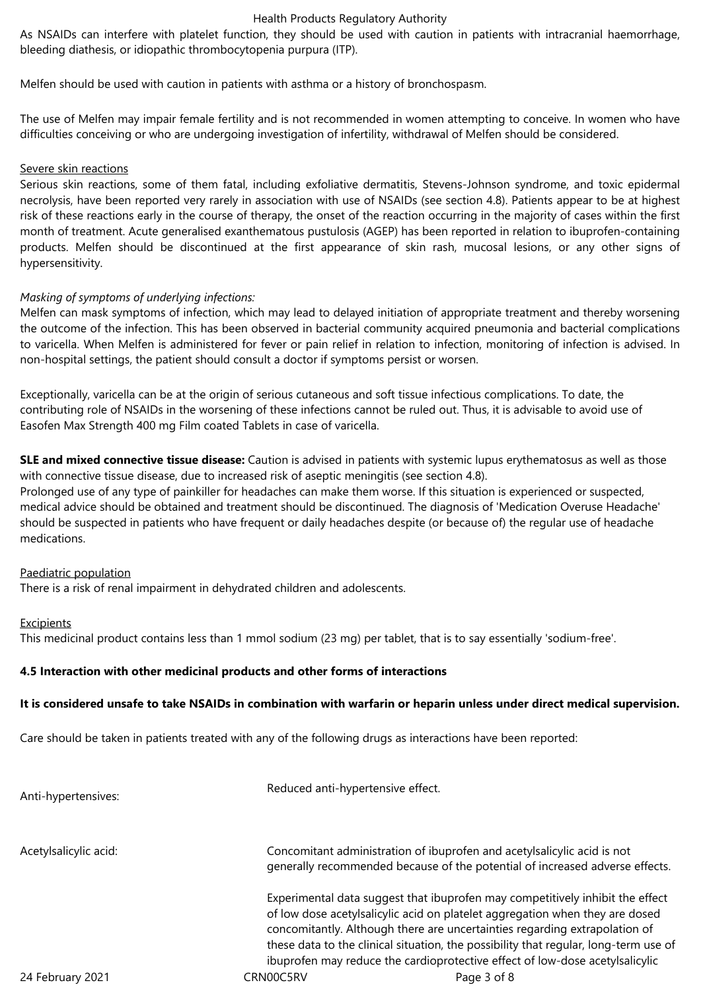#### Health Products Regulatory Authority

As NSAIDs can interfere with platelet function, they should be used with caution in patients with intracranial haemorrhage, bleeding diathesis, or idiopathic thrombocytopenia purpura (ITP).

Melfen should be used with caution in patients with asthma or a history of bronchospasm.

The use of Melfen may impair female fertility and is not recommended in women attempting to conceive. In women who have difficulties conceiving or who are undergoing investigation of infertility, withdrawal of Melfen should be considered.

#### Severe skin reactions

Serious skin reactions, some of them fatal, including exfoliative dermatitis, Stevens-Johnson syndrome, and toxic epidermal necrolysis, have been reported very rarely in association with use of NSAIDs (see section 4.8). Patients appear to be at highest risk of these reactions early in the course of therapy, the onset of the reaction occurring in the majority of cases within the first month of treatment. Acute generalised exanthematous pustulosis (AGEP) has been reported in relation to ibuprofen-containing products. Melfen should be discontinued at the first appearance of skin rash, mucosal lesions, or any other signs of hypersensitivity.

#### *Masking of symptoms of underlying infections:*

Melfen can mask symptoms of infection, which may lead to delayed initiation of appropriate treatment and thereby worsening the outcome of the infection. This has been observed in bacterial community acquired pneumonia and bacterial complications to varicella. When Melfen is administered for fever or pain relief in relation to infection, monitoring of infection is advised. In non-hospital settings, the patient should consult a doctor if symptoms persist or worsen.

Exceptionally, varicella can be at the origin of serious cutaneous and soft tissue infectious complications. To date, the contributing role of NSAIDs in the worsening of these infections cannot be ruled out. Thus, it is advisable to avoid use of Easofen Max Strength 400 mg Film coated Tablets in case of varicella.

**SLE and mixed connective tissue disease:** Caution is advised in patients with systemic lupus erythematosus as well as those with connective tissue disease, due to increased risk of aseptic meningitis (see section 4.8).

Prolonged use of any type of painkiller for headaches can make them worse. If this situation is experienced or suspected, medical advice should be obtained and treatment should be discontinued. The diagnosis of 'Medication Overuse Headache' should be suspected in patients who have frequent or daily headaches despite (or because of) the regular use of headache medications.

#### Paediatric population

There is a risk of renal impairment in dehydrated children and adolescents.

#### **Excipients**

This medicinal product contains less than 1 mmol sodium (23 mg) per tablet, that is to say essentially 'sodium-free'.

#### **4.5 Interaction with other medicinal products and other forms of interactions**

#### **It is considered unsafe to take NSAIDs in combination with warfarin or heparin unless under direct medical supervision.**

Care should be taken in patients treated with any of the following drugs as interactions have been reported:

| Anti-hypertensives:   | Reduced anti-hypertensive effect.                                                                                                                                                                                                                                                                                                                                                                                   |                                                                                                                                                         |
|-----------------------|---------------------------------------------------------------------------------------------------------------------------------------------------------------------------------------------------------------------------------------------------------------------------------------------------------------------------------------------------------------------------------------------------------------------|---------------------------------------------------------------------------------------------------------------------------------------------------------|
| Acetylsalicylic acid: |                                                                                                                                                                                                                                                                                                                                                                                                                     | Concomitant administration of ibuprofen and acetylsalicylic acid is not<br>generally recommended because of the potential of increased adverse effects. |
|                       | Experimental data suggest that ibuprofen may competitively inhibit the effect<br>of low dose acetylsalicylic acid on platelet aggregation when they are dosed<br>concomitantly. Although there are uncertainties regarding extrapolation of<br>these data to the clinical situation, the possibility that regular, long-term use of<br>ibuprofen may reduce the cardioprotective effect of low-dose acetylsalicylic |                                                                                                                                                         |
| 24 February 2021      | CRN00C5RV                                                                                                                                                                                                                                                                                                                                                                                                           | Page 3 of 8                                                                                                                                             |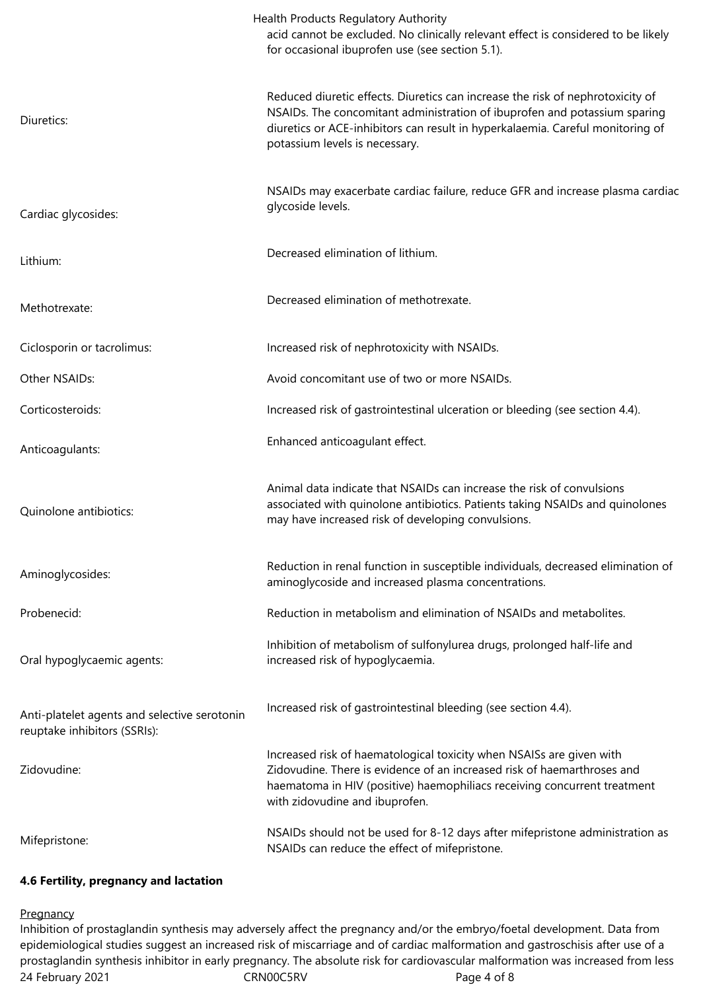|                                                                              | Health Products Regulatory Authority<br>acid cannot be excluded. No clinically relevant effect is considered to be likely<br>for occasional ibuprofen use (see section 5.1).                                                                                                    |
|------------------------------------------------------------------------------|---------------------------------------------------------------------------------------------------------------------------------------------------------------------------------------------------------------------------------------------------------------------------------|
| Diuretics:                                                                   | Reduced diuretic effects. Diuretics can increase the risk of nephrotoxicity of<br>NSAIDs. The concomitant administration of ibuprofen and potassium sparing<br>diuretics or ACE-inhibitors can result in hyperkalaemia. Careful monitoring of<br>potassium levels is necessary. |
| Cardiac glycosides:                                                          | NSAIDs may exacerbate cardiac failure, reduce GFR and increase plasma cardiac<br>glycoside levels.                                                                                                                                                                              |
| Lithium:                                                                     | Decreased elimination of lithium.                                                                                                                                                                                                                                               |
| Methotrexate:                                                                | Decreased elimination of methotrexate.                                                                                                                                                                                                                                          |
| Ciclosporin or tacrolimus:                                                   | Increased risk of nephrotoxicity with NSAIDs.                                                                                                                                                                                                                                   |
| Other NSAIDs:                                                                | Avoid concomitant use of two or more NSAIDs.                                                                                                                                                                                                                                    |
| Corticosteroids:                                                             | Increased risk of gastrointestinal ulceration or bleeding (see section 4.4).                                                                                                                                                                                                    |
| Anticoagulants:                                                              | Enhanced anticoagulant effect.                                                                                                                                                                                                                                                  |
| Quinolone antibiotics:                                                       | Animal data indicate that NSAIDs can increase the risk of convulsions<br>associated with quinolone antibiotics. Patients taking NSAIDs and quinolones<br>may have increased risk of developing convulsions.                                                                     |
| Aminoglycosides:                                                             | Reduction in renal function in susceptible individuals, decreased elimination of<br>aminoglycoside and increased plasma concentrations.                                                                                                                                         |
| Probenecid:                                                                  | Reduction in metabolism and elimination of NSAIDs and metabolites.                                                                                                                                                                                                              |
| Oral hypoglycaemic agents:                                                   | Inhibition of metabolism of sulfonylurea drugs, prolonged half-life and<br>increased risk of hypoglycaemia.                                                                                                                                                                     |
| Anti-platelet agents and selective serotonin<br>reuptake inhibitors (SSRIs): | Increased risk of gastrointestinal bleeding (see section 4.4).                                                                                                                                                                                                                  |
| Zidovudine:                                                                  | Increased risk of haematological toxicity when NSAISs are given with<br>Zidovudine. There is evidence of an increased risk of haemarthroses and<br>haematoma in HIV (positive) haemophiliacs receiving concurrent treatment<br>with zidovudine and ibuprofen.                   |
| Mifepristone:                                                                | NSAIDs should not be used for 8-12 days after mifepristone administration as<br>NSAIDs can reduce the effect of mifepristone.                                                                                                                                                   |

# **4.6 Fertility, pregnancy and lactation**

#### **Pregnancy**

24 February 2021 **CRNOOC5RV** CRNOOC5RV Page 4 of 8 Inhibition of prostaglandin synthesis may adversely affect the pregnancy and/or the embryo/foetal development. Data from epidemiological studies suggest an increased risk of miscarriage and of cardiac malformation and gastroschisis after use of a prostaglandin synthesis inhibitor in early pregnancy. The absolute risk for cardiovascular malformation was increased from less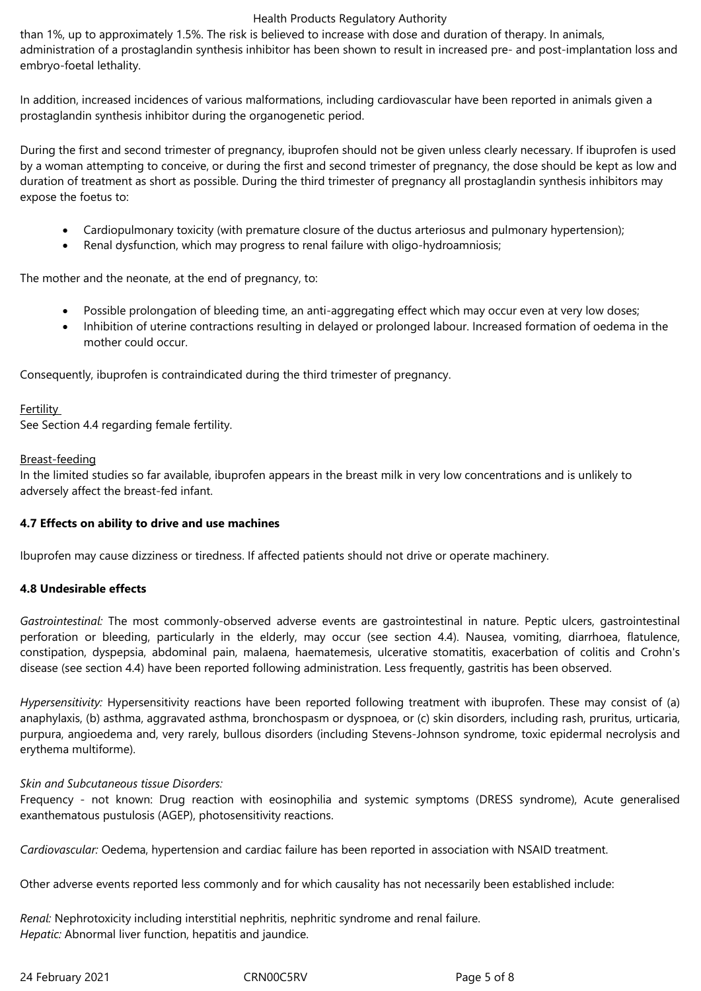### Health Products Regulatory Authority

than 1%, up to approximately 1.5%. The risk is believed to increase with dose and duration of therapy. In animals, administration of a prostaglandin synthesis inhibitor has been shown to result in increased pre- and post-implantation loss and embryo-foetal lethality.

In addition, increased incidences of various malformations, including cardiovascular have been reported in animals given a prostaglandin synthesis inhibitor during the organogenetic period.

During the first and second trimester of pregnancy, ibuprofen should not be given unless clearly necessary. If ibuprofen is used by a woman attempting to conceive, or during the first and second trimester of pregnancy, the dose should be kept as low and duration of treatment as short as possible. During the third trimester of pregnancy all prostaglandin synthesis inhibitors may expose the foetus to:

- Cardiopulmonary toxicity (with premature closure of the ductus arteriosus and pulmonary hypertension);
- Renal dysfunction, which may progress to renal failure with oligo-hydroamniosis;

The mother and the neonate, at the end of pregnancy, to:

- Possible prolongation of bleeding time, an anti-aggregating effect which may occur even at very low doses;
- Inhibition of uterine contractions resulting in delayed or prolonged labour. Increased formation of oedema in the mother could occur.

Consequently, ibuprofen is contraindicated during the third trimester of pregnancy.

**Fertility** See Section 4.4 regarding female fertility.

#### Breast-feeding

In the limited studies so far available, ibuprofen appears in the breast milk in very low concentrations and is unlikely to adversely affect the breast-fed infant.

#### **4.7 Effects on ability to drive and use machines**

Ibuprofen may cause dizziness or tiredness. If affected patients should not drive or operate machinery.

# **4.8 Undesirable effects**

*Gastrointestinal:* The most commonly-observed adverse events are gastrointestinal in nature. Peptic ulcers, gastrointestinal perforation or bleeding, particularly in the elderly, may occur (see section 4.4). Nausea, vomiting, diarrhoea, flatulence, constipation, dyspepsia, abdominal pain, malaena, haematemesis, ulcerative stomatitis, exacerbation of colitis and Crohn's disease (see section 4.4) have been reported following administration. Less frequently, gastritis has been observed.

*Hypersensitivity:* Hypersensitivity reactions have been reported following treatment with ibuprofen. These may consist of (a) anaphylaxis, (b) asthma, aggravated asthma, bronchospasm or dyspnoea, or (c) skin disorders, including rash, pruritus, urticaria, purpura, angioedema and, very rarely, bullous disorders (including Stevens-Johnson syndrome, toxic epidermal necrolysis and erythema multiforme).

*Skin and Subcutaneous tissue Disorders:* 

Frequency - not known: Drug reaction with eosinophilia and systemic symptoms (DRESS syndrome), Acute generalised exanthematous pustulosis (AGEP), photosensitivity reactions.

*Cardiovascular:* Oedema, hypertension and cardiac failure has been reported in association with NSAID treatment.

Other adverse events reported less commonly and for which causality has not necessarily been established include:

*Renal:* Nephrotoxicity including interstitial nephritis, nephritic syndrome and renal failure. *Hepatic:* Abnormal liver function, hepatitis and jaundice.

24 February 2021 CRN00C5RV Page 5 of 8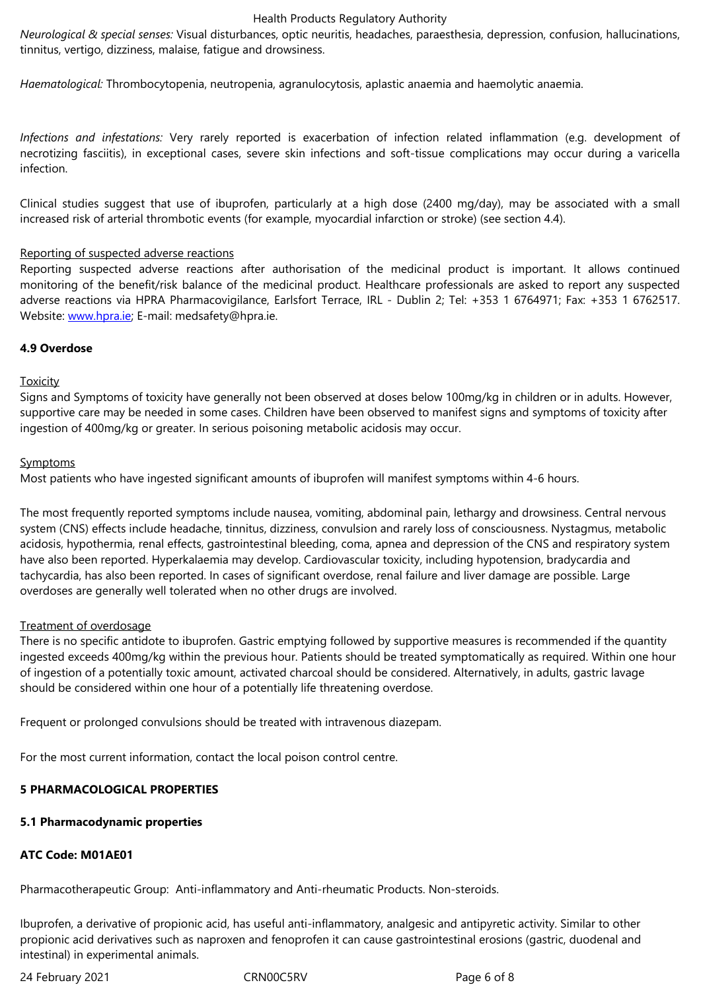*Haematological:* Thrombocytopenia, neutropenia, agranulocytosis, aplastic anaemia and haemolytic anaemia.

*Infections and infestations:* Very rarely reported is exacerbation of infection related inflammation (e.g. development of necrotizing fasciitis), in exceptional cases, severe skin infections and soft-tissue complications may occur during a varicella infection.

Clinical studies suggest that use of ibuprofen, particularly at a high dose (2400 mg/day), may be associated with a small increased risk of arterial thrombotic events (for example, myocardial infarction or stroke) (see section 4.4).

#### Reporting of suspected adverse reactions

Reporting suspected adverse reactions after authorisation of the medicinal product is important. It allows continued monitoring of the benefit/risk balance of the medicinal product. Healthcare professionals are asked to report any suspected adverse reactions via HPRA Pharmacovigilance, Earlsfort Terrace, IRL - Dublin 2; Tel: +353 1 6764971; Fax: +353 1 6762517. Website: www.hpra.ie; E-mail: medsafety@hpra.ie.

#### **4.9 Overdose**

#### **Toxicity**

Signs and Symptoms of toxicity have generally not been observed at doses below 100mg/kg in children or in adults. However, supportive care may be needed in some cases. Children have been observed to manifest signs and symptoms of toxicity after ingestion of 400mg/kg or greater. In serious poisoning metabolic acidosis may occur.

#### **Symptoms**

Most patients who have ingested significant amounts of ibuprofen will manifest symptoms within 4-6 hours.

The most frequently reported symptoms include nausea, vomiting, abdominal pain, lethargy and drowsiness. Central nervous system (CNS) effects include headache, tinnitus, dizziness, convulsion and rarely loss of consciousness. Nystagmus, metabolic acidosis, hypothermia, renal effects, gastrointestinal bleeding, coma, apnea and depression of the CNS and respiratory system have also been reported. Hyperkalaemia may develop. Cardiovascular toxicity, including hypotension, bradycardia and tachycardia, has also been reported. In cases of significant overdose, renal failure and liver damage are possible. Large overdoses are generally well tolerated when no other drugs are involved.

#### Treatment of overdosage

There is no specific antidote to ibuprofen. Gastric emptying followed by supportive measures is recommended if the quantity ingested exceeds 400mg/kg within the previous hour. Patients should be treated symptomatically as required. Within one hour of ingestion of a potentially toxic amount, activated charcoal should be considered. Alternatively, in adults, gastric lavage should be considered within one hour of a potentially life threatening overdose.

Frequent or prolonged convulsions should be treated with intravenous diazepam.

For the most current information, contact the local poison control centre.

# **5 PHARMACOLOGICAL PROPERTIES**

# **5.1 Pharmacodynamic properties**

# **ATC Code: M01AE01**

Pharmacotherapeutic Group: Anti-inflammatory and Anti-rheumatic Products. Non-steroids.

Ibuprofen, a derivative of propionic acid, has useful anti-inflammatory, analgesic and antipyretic activity. Similar to other propionic acid derivatives such as naproxen and fenoprofen it can cause gastrointestinal erosions (gastric, duodenal and intestinal) in experimental animals.

24 February 2021 **CRNOOC5RV** CRNOOC5RV Page 6 of 8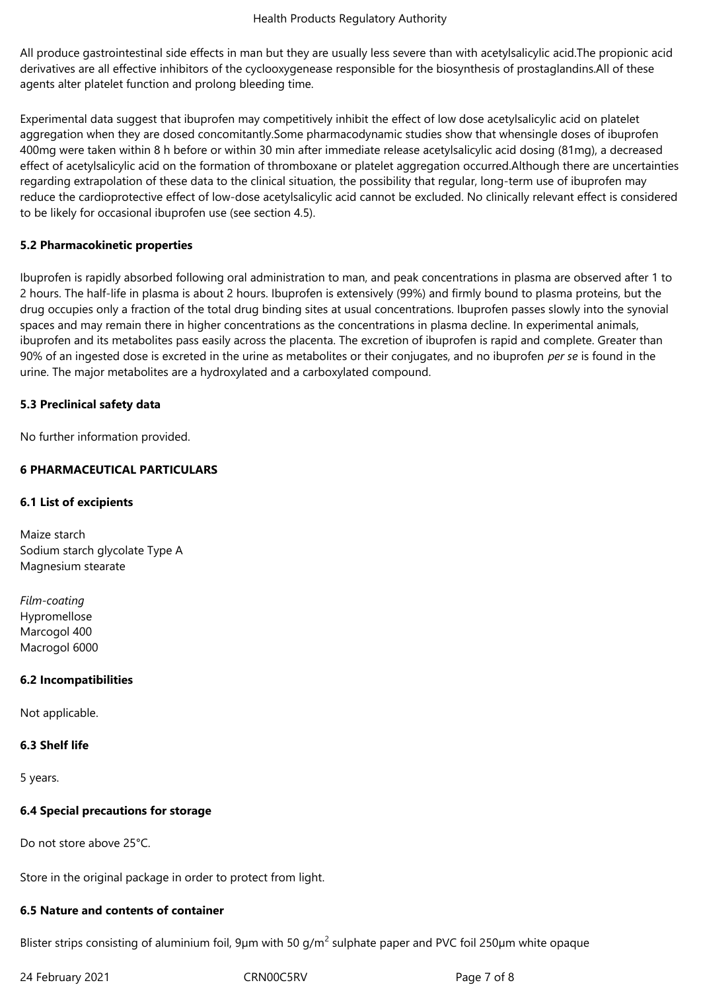All produce gastrointestinal side effects in man but they are usually less severe than with acetylsalicylic acid.The propionic acid derivatives are all effective inhibitors of the cyclooxygenease responsible for the biosynthesis of prostaglandins.All of these agents alter platelet function and prolong bleeding time.

Experimental data suggest that ibuprofen may competitively inhibit the effect of low dose acetylsalicylic acid on platelet aggregation when they are dosed concomitantly.Some pharmacodynamic studies show that whensingle doses of ibuprofen 400mg were taken within 8 h before or within 30 min after immediate release acetylsalicylic acid dosing (81mg), a decreased effect of acetylsalicylic acid on the formation of thromboxane or platelet aggregation occurred.Although there are uncertainties regarding extrapolation of these data to the clinical situation, the possibility that regular, long-term use of ibuprofen may reduce the cardioprotective effect of low-dose acetylsalicylic acid cannot be excluded. No clinically relevant effect is considered to be likely for occasional ibuprofen use (see section 4.5).

# **5.2 Pharmacokinetic properties**

Ibuprofen is rapidly absorbed following oral administration to man, and peak concentrations in plasma are observed after 1 to 2 hours. The half-life in plasma is about 2 hours. Ibuprofen is extensively (99%) and firmly bound to plasma proteins, but the drug occupies only a fraction of the total drug binding sites at usual concentrations. Ibuprofen passes slowly into the synovial spaces and may remain there in higher concentrations as the concentrations in plasma decline. In experimental animals, ibuprofen and its metabolites pass easily across the placenta. The excretion of ibuprofen is rapid and complete. Greater than 90% of an ingested dose is excreted in the urine as metabolites or their conjugates, and no ibuprofen *per se* is found in the urine. The major metabolites are a hydroxylated and a carboxylated compound.

# **5.3 Preclinical safety data**

No further information provided.

# **6 PHARMACEUTICAL PARTICULARS**

## **6.1 List of excipients**

Maize starch Sodium starch glycolate Type A Magnesium stearate

*Film-coating* Hypromellose Marcogol 400 Macrogol 6000

#### **6.2 Incompatibilities**

Not applicable.

#### **6.3 Shelf life**

5 years.

#### **6.4 Special precautions for storage**

Do not store above 25°C.

Store in the original package in order to protect from light.

# **6.5 Nature and contents of container**

Blister strips consisting of aluminium foil, 9µm with 50 g/m<sup>2</sup> sulphate paper and PVC foil 250µm white opaque

24 February 2021 CRN00C5RV Page 7 of 8